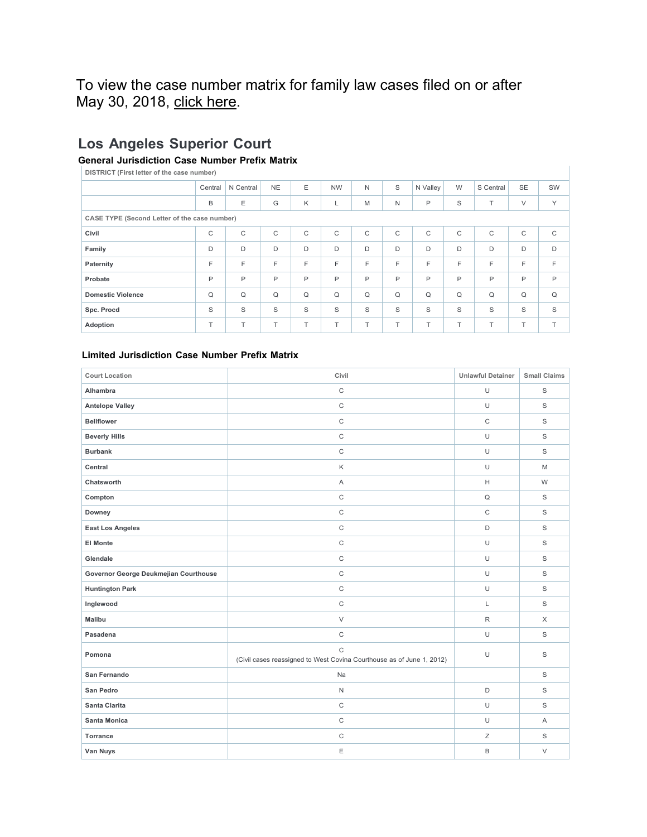## To view the case number matrix for family law cases filed on or after May 30, 2018, [click here.](http://www.lacourt.org/forms/pdf/CaseNumberSchematic.pdf)

## **Los Angeles Superior Court**

## **General Jurisdiction Case Number Prefix Matrix**

**DISTRICT (First letter of the case number)**

| $\sim$                                       |              |              |              |              |           |              |              |          |              |              |             |             |
|----------------------------------------------|--------------|--------------|--------------|--------------|-----------|--------------|--------------|----------|--------------|--------------|-------------|-------------|
|                                              | Central      | N Central    | <b>NE</b>    | Ε            | <b>NW</b> | N            | S            | N Valley | W            | S Central    | <b>SE</b>   | SW          |
|                                              | B            | Ε            | G            | K            |           | M            | N            | P        | S            | T            | V           | Y           |
| CASE TYPE (Second Letter of the case number) |              |              |              |              |           |              |              |          |              |              |             |             |
| Civil                                        | $\mathsf{C}$ | $\mathsf{C}$ | $\mathsf{C}$ | C            | C         | $\mathsf{C}$ | C            | C        | $\mathsf{C}$ | $\mathsf{C}$ | $\mathsf C$ | $\mathsf C$ |
| Family                                       | D            | D            | D            | D            | D         | D            | D            | D        | D            | D            | D           | D           |
| Paternity                                    | E            | F            | F            | F            | F         | F            | F            | F        | F            | F            | F           | F.          |
| Probate                                      | P            | P            | P            | $\mathsf{P}$ | P         | P            | $\mathsf{P}$ | P        | P            | P            | P           | P           |
| <b>Domestic Violence</b>                     | $\Omega$     | $\Omega$     | Q            | $\Omega$     | Q         | $\Omega$     | $\Omega$     | Q        | $\mathsf Q$  | $\Omega$     | Q           | $\Omega$    |
| Spc. Procd                                   | S            | S            | S            | S            | S         | S            | S            | S        | S            | S            | S           | S           |
| Adoption                                     | T.           | T            | T.           | T.           | T.        | T            | T.           | T        | $\top$       | T.           | T           | $\top$      |

 $\overline{1}$ 

## **Limited Jurisdiction Case Number Prefix Matrix**

| <b>Court Location</b>                 | Civil                                                                                 | <b>Unlawful Detainer</b> | <b>Small Claims</b> |
|---------------------------------------|---------------------------------------------------------------------------------------|--------------------------|---------------------|
| Alhambra                              | $\mathsf C$                                                                           | $\cup$                   | S                   |
| <b>Antelope Valley</b>                | $\mathsf{C}$                                                                          | U                        | S                   |
| <b>Bellflower</b>                     | $\mathsf C$                                                                           | $\mathsf C$              | S                   |
| <b>Beverly Hills</b>                  | $\mathsf C$                                                                           | $\cup$                   | S                   |
| <b>Burbank</b>                        | $\mathsf C$                                                                           | $\cup$                   | S                   |
| Central                               | Κ                                                                                     | $\cup$                   | M                   |
| Chatsworth                            | A                                                                                     | н                        | W                   |
| Compton                               | $\mathbf C$                                                                           | $\mathsf Q$              | S                   |
| Downey                                | $\mathsf C$                                                                           | $\mathsf C$              | S                   |
| <b>East Los Angeles</b>               | $\mathsf C$                                                                           | $\mathsf D$              | S                   |
| <b>El Monte</b>                       | $\mathsf{C}$                                                                          | $\cup$                   | S                   |
| Glendale                              | $\mathsf C$                                                                           | U                        | S                   |
| Governor George Deukmejian Courthouse | $\mathsf C$                                                                           | $\cup$                   | S                   |
| <b>Huntington Park</b>                | $\mathsf C$                                                                           | $\cup$                   | S                   |
| Inglewood                             | $\mathsf C$                                                                           | Г                        | S                   |
| <b>Malibu</b>                         | $\vee$                                                                                | $\mathsf R$              | $\mathsf X$         |
| Pasadena                              | $\mathsf C$                                                                           | $\cup$                   | S                   |
| Pomona                                | $\mathsf{C}$<br>(Civil cases reassigned to West Covina Courthouse as of June 1, 2012) | $\cup$                   | S                   |
| San Fernando                          | Na                                                                                    |                          | S                   |
| San Pedro                             | $\mathsf N$                                                                           | $\mathsf D$              | S                   |
| Santa Clarita                         | $\mathsf C$                                                                           | $\cup$                   | S                   |
| Santa Monica                          | $\mathsf C$                                                                           | U                        | A                   |
| Torrance                              | $\mathsf C$                                                                           | Ζ                        | S                   |
| Van Nuys                              | E                                                                                     | B                        | V                   |